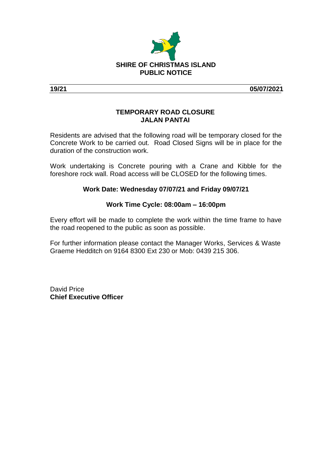

**19/21 05/07/2021**

# **TEMPORARY ROAD CLOSURE JALAN PANTAI**

Residents are advised that the following road will be temporary closed for the Concrete Work to be carried out. Road Closed Signs will be in place for the duration of the construction work.

Work undertaking is Concrete pouring with a Crane and Kibble for the foreshore rock wall. Road access will be CLOSED for the following times.

# **Work Date: Wednesday 07/07/21 and Friday 09/07/21**

### **Work Time Cycle: 08:00am – 16:00pm**

Every effort will be made to complete the work within the time frame to have the road reopened to the public as soon as possible.

For further information please contact the Manager Works, Services & Waste Graeme Hedditch on 9164 8300 Ext 230 or Mob: 0439 215 306.

David Price **Chief Executive Officer**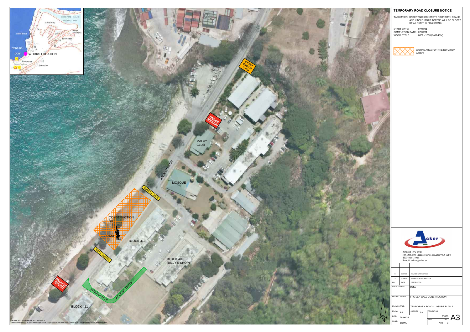### **TEMPORARY ROAD CLOSURE NOTICE**

TASK BRIEF: UNDERTAKE CONCRETE POUR WITH CRANE AND KIBBLE. ROAD ACCESS WILL BE CLOSED OF AS PER THE FOLLOWING;

START DATE: 07/07/21<br>COMPLETION DATE: 0800 - 1600 (8AM-4PM)<br>WORK CYCLE: 0800 - 1600 (8AM-4PM)



WORKS AREA FOR THE DURATION ABOVE



ACKER PTY LTD<br>PO BOX 390 CHRISTMAS ISLAND WA 6798<br>TEL: 9164 7916<br>E-mail: acker@pulau.cx

|  | B                     | 05/07/21  | REVISED WORK CYCLE            |             |              |    |  |  |
|--|-----------------------|-----------|-------------------------------|-------------|--------------|----|--|--|
|  | A                     | 30/06/21  | <b>ISSUED FOR INFORMATION</b> |             |              |    |  |  |
|  | <b>REV</b>            | DATE      | <b>DESCRIPTION</b>            |             |              |    |  |  |
|  | CLIENT DETAILS:       |           | <b>IOTA</b>                   |             |              |    |  |  |
|  | PROJECT DETAILS:      |           | FFC SEA WALL CONSTRUCTION     |             |              |    |  |  |
|  | <b>DRAWING TITLE:</b> |           | TEMPORARY ROAD CLOSURE PLAN 2 |             |              |    |  |  |
|  | DRAWN:                | <b>RR</b> | CHECKED:<br><b>SA</b>         | PROJECT NO. |              |    |  |  |
|  | DATE:                 | 28/06/21  |                               | <b>DWG</b>  | 21028<br>rev | A3 |  |  |
|  | SCALE:                | 1:1000    |                               | A02         | В            |    |  |  |